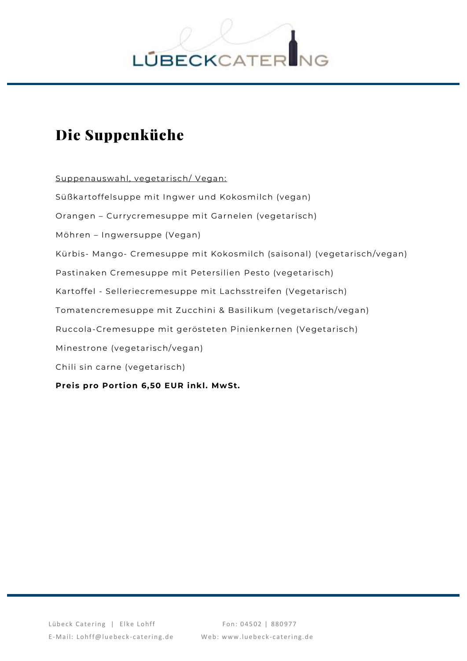

## Die Suppenküche

Suppenauswahl, vegetarisch/ Vegan: Süßkartoffelsuppe mit Ingwer und Kokosmilch (vegan) Orangen – Currycremesuppe mit Garnelen (vegetarisch) Möhren – Ingwersuppe (Vegan) Kürbis- Mango- Cremesuppe mit Kokosmilch (saisonal) (vegetarisch/vegan) Pastinaken Cremesuppe mit Petersilien Pesto (vegetarisch) Kartoffel - Selleriecremesuppe mit Lachsstreifen (Vegetarisch) Tomatencremesuppe mit Zucchini & Basilikum (vegetarisch/vegan) Ruccola-Cremesuppe mit gerösteten Pinienkernen (Vegetarisch) Minestrone (vegetarisch/vegan) Chili sin carne (vegetarisch) **Preis pro Portion 6,50 EUR inkl. MwSt.**